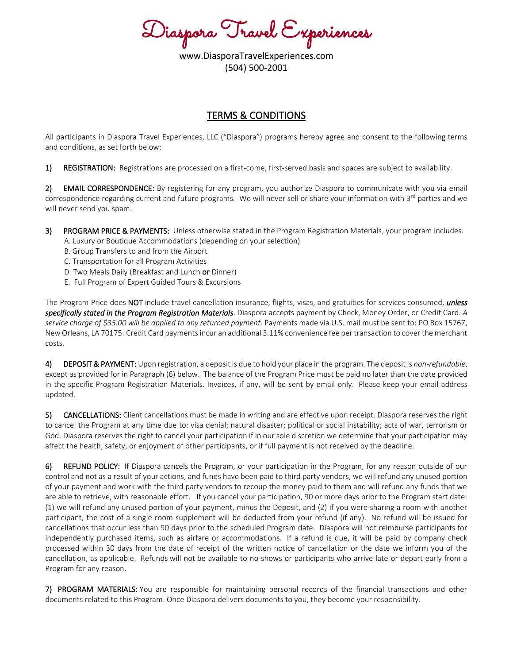Diaspora Travel Experiences

www.DiasporaTravelExperiences.com (504) 500-2001

## TERMS & CONDITIONS

All participants in Diaspora Travel Experiences, LLC ("Diaspora") programs hereby agree and consent to the following terms and conditions, as set forth below:

1) REGISTRATION: Registrations are processed on a first-come, first-served basis and spaces are subject to availability.

2) EMAIL CORRESPONDENCE: By registering for any program, you authorize Diaspora to communicate with you via email correspondence regarding current and future programs. We will never sell or share your information with  $3<sup>rd</sup>$  parties and we will never send you spam.

- 3) PROGRAM PRICE & PAYMENTS: Unless otherwise stated in the Program Registration Materials, your program includes: A. Luxury or Boutique Accommodations (depending on your selection)
	- B. Group Transfers to and from the Airport
	- C. Transportation for all Program Activities
	- D. Two Meals Daily (Breakfast and Lunch or Dinner)
	- E. Full Program of Expert Guided Tours & Excursions

The Program Price does NOT include travel cancellation insurance, flights, visas, and gratuities for services consumed, *unless specifically stated in the Program Registration Materials*. Diaspora accepts payment by Check, Money Order, or Credit Card. *A*  service charge of \$35.00 will be applied to any returned payment. Payments made via U.S. mail must be sent to: PO Box 15767, New Orleans, LA 70175. Credit Card payments incur an additional 3.11% convenience fee per transaction to cover the merchant costs.

4) DEPOSIT & PAYMENT: Upon registration, a deposit is due to hold your place in the program. The deposit is *non-refundable*, except as provided for in Paragraph (6) below. The balance of the Program Price must be paid no later than the date provided in the specific Program Registration Materials. Invoices, if any, will be sent by email only. Please keep your email address updated.

5) CANCELLATIONS: Client cancellations must be made in writing and are effective upon receipt. Diaspora reserves the right to cancel the Program at any time due to: visa denial; natural disaster; political or social instability; acts of war, terrorism or God. Diaspora reserves the right to cancel your participation if in our sole discretion we determine that your participation may affect the health, safety, or enjoyment of other participants, or if full payment is not received by the deadline.

6) REFUND POLICY: If Diaspora cancels the Program, or your participation in the Program, for any reason outside of our control and not as a result of your actions, and funds have been paid to third party vendors, we will refund any unused portion of your payment and work with the third party vendors to recoup the money paid to them and will refund any funds that we are able to retrieve, with reasonable effort. If you cancel your participation, 90 or more days prior to the Program start date: (1) we will refund any unused portion of your payment, minus the Deposit, and (2) if you were sharing a room with another participant, the cost of a single room supplement will be deducted from your refund (if any). No refund will be issued for cancellations that occur less than 90 days prior to the scheduled Program date. Diaspora will not reimburse participants for independently purchased items, such as airfare or accommodations. If a refund is due, it will be paid by company check processed within 30 days from the date of receipt of the written notice of cancellation or the date we inform you of the cancellation, as applicable. Refunds will not be available to no-shows or participants who arrive late or depart early from a Program for any reason.

7) PROGRAM MATERIALS: You are responsible for maintaining personal records of the financial transactions and other documents related to this Program. Once Diaspora delivers documents to you, they become your responsibility.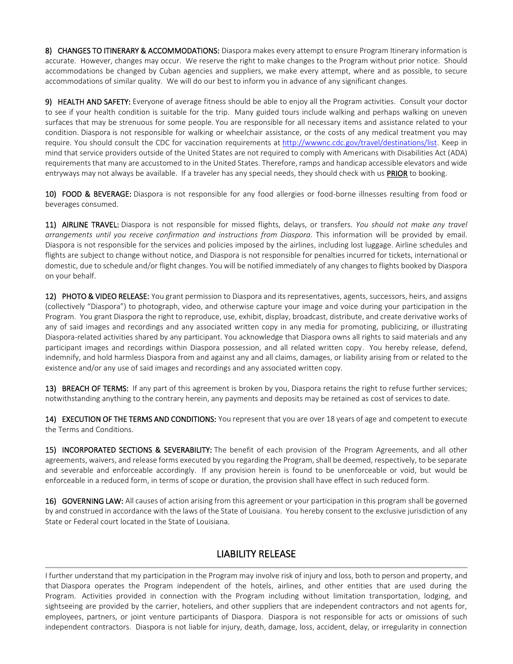8) CHANGES TO ITINERARY & ACCOMMODATIONS: Diaspora makes every attempt to ensure Program Itinerary information is accurate. However, changes may occur. We reserve the right to make changes to the Program without prior notice. Should accommodations be changed by Cuban agencies and suppliers, we make every attempt, where and as possible, to secure accommodations of similar quality. We will do our best to inform you in advance of any significant changes.

9) HEALTH AND SAFETY: Everyone of average fitness should be able to enjoy all the Program activities. Consult your doctor to see if your health condition is suitable for the trip. Many guided tours include walking and perhaps walking on uneven surfaces that may be strenuous for some people. You are responsible for all necessary items and assistance related to your condition. Diaspora is not responsible for walking or wheelchair assistance, or the costs of any medical treatment you may require. You should consult the CDC for vaccination requirements at [http://wwwnc.cdc.gov/travel/destinations/list.](http://wwwnc.cdc.gov/travel/destinations/list) Keep in mind that service providers outside of the United States are not required to comply with Americans with Disabilities Act (ADA) requirements that many are accustomed to in the United States. Therefore, ramps and handicap accessible elevators and wide entryways may not always be available. If a traveler has any special needs, they should check with us **PRIOR** to booking.

10) FOOD & BEVERAGE: Diaspora is not responsible for any food allergies or food-borne illnesses resulting from food or beverages consumed.

11) AIRLINE TRAVEL: Diaspora is not responsible for missed flights, delays, or transfers. *You should not make any travel arrangements until you receive confirmation and instructions from Diaspora*. This information will be provided by email. Diaspora is not responsible for the services and policies imposed by the airlines, including lost luggage. Airline schedules and flights are subject to change without notice, and Diaspora is not responsible for penalties incurred for tickets, international or domestic, due to schedule and/or flight changes. You will be notified immediately of any changes to flights booked by Diaspora on your behalf.

12) PHOTO & VIDEO RELEASE: You grant permission to Diaspora and its representatives, agents, successors, heirs, and assigns (collectively "Diaspora") to photograph, video, and otherwise capture your image and voice during your participation in the Program. You grant Diaspora the right to reproduce, use, exhibit, display, broadcast, distribute, and create derivative works of any of said images and recordings and any associated written copy in any media for promoting, publicizing, or illustrating Diaspora-related activities shared by any participant. You acknowledge that Diaspora owns all rights to said materials and any participant images and recordings within Diaspora possession, and all related written copy. You hereby release, defend, indemnify, and hold harmless Diaspora from and against any and all claims, damages, or liability arising from or related to the existence and/or any use of said images and recordings and any associated written copy.

13) BREACH OF TERMS: If any part of this agreement is broken by you, Diaspora retains the right to refuse further services; notwithstanding anything to the contrary herein, any payments and deposits may be retained as cost of services to date.

14) EXECUTION OF THE TERMS AND CONDITIONS: You represent that you are over 18 years of age and competent to execute the Terms and Conditions.

15) INCORPORATED SECTIONS & SEVERABILITY: The benefit of each provision of the Program Agreements, and all other agreements, waivers, and release forms executed by you regarding the Program, shall be deemed, respectively, to be separate and severable and enforceable accordingly. If any provision herein is found to be unenforceable or void, but would be enforceable in a reduced form, in terms of scope or duration, the provision shall have effect in such reduced form.

16) GOVERNING LAW: All causes of action arising from this agreement or your participation in this program shall be governed by and construed in accordance with the laws of the State of Louisiana. You hereby consent to the exclusive jurisdiction of any State or Federal court located in the State of Louisiana.

## LIABILITY RELEASE

I further understand that my participation in the Program may involve risk of injury and loss, both to person and property, and that Diaspora operates the Program independent of the hotels, airlines, and other entities that are used during the Program. Activities provided in connection with the Program including without limitation transportation, lodging, and sightseeing are provided by the carrier, hoteliers, and other suppliers that are independent contractors and not agents for, employees, partners, or joint venture participants of Diaspora. Diaspora is not responsible for acts or omissions of such independent contractors. Diaspora is not liable for injury, death, damage, loss, accident, delay, or irregularity in connection